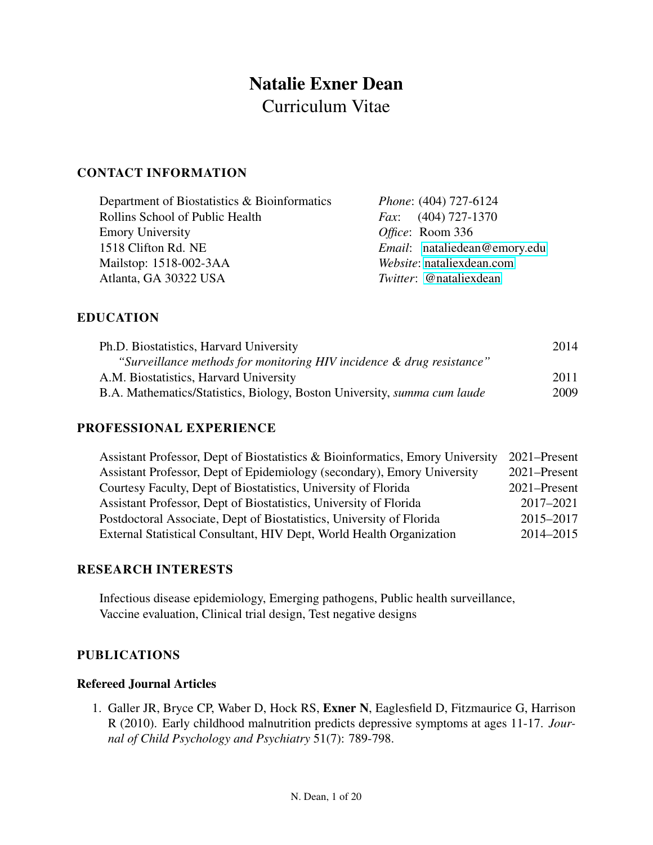# Natalie Exner Dean Curriculum Vitae

## CONTACT INFORMATION

| Department of Biostatistics & Bioinformatics | <i>Phone:</i> (404) 727-6124        |
|----------------------------------------------|-------------------------------------|
| Rollins School of Public Health              | <i>Fax:</i> $(404)$ 727-1370        |
| <b>Emory University</b>                      | Office: Room 336                    |
| 1518 Clifton Rd. NE                          | <i>Email:</i> nataliedean@emory.edu |
| Mailstop: 1518-002-3AA                       | Website: nataliexdean.com           |
| Atlanta, GA 30322 USA                        | <i>Twitter:</i> @nataliexdean       |

## EDUCATION

| Ph.D. Biostatistics, Harvard University                                         | 2014 |
|---------------------------------------------------------------------------------|------|
| "Surveillance methods for monitoring HIV incidence & drug resistance"           |      |
| A.M. Biostatistics, Harvard University                                          | 2011 |
| B.A. Mathematics/Statistics, Biology, Boston University, <i>summa cum laude</i> | 2009 |

#### PROFESSIONAL EXPERIENCE

| Assistant Professor, Dept of Biostatistics & Bioinformatics, Emory University | 2021–Present |
|-------------------------------------------------------------------------------|--------------|
| Assistant Professor, Dept of Epidemiology (secondary), Emory University       | 2021–Present |
| Courtesy Faculty, Dept of Biostatistics, University of Florida                | 2021–Present |
| Assistant Professor, Dept of Biostatistics, University of Florida             | 2017-2021    |
| Postdoctoral Associate, Dept of Biostatistics, University of Florida          | 2015-2017    |
| External Statistical Consultant, HIV Dept, World Health Organization          | 2014-2015    |

## RESEARCH INTERESTS

Infectious disease epidemiology, Emerging pathogens, Public health surveillance, Vaccine evaluation, Clinical trial design, Test negative designs

## PUBLICATIONS

## Refereed Journal Articles

1. Galler JR, Bryce CP, Waber D, Hock RS, Exner N, Eaglesfield D, Fitzmaurice G, Harrison R (2010). Early childhood malnutrition predicts depressive symptoms at ages 11-17. *Journal of Child Psychology and Psychiatry* 51(7): 789-798.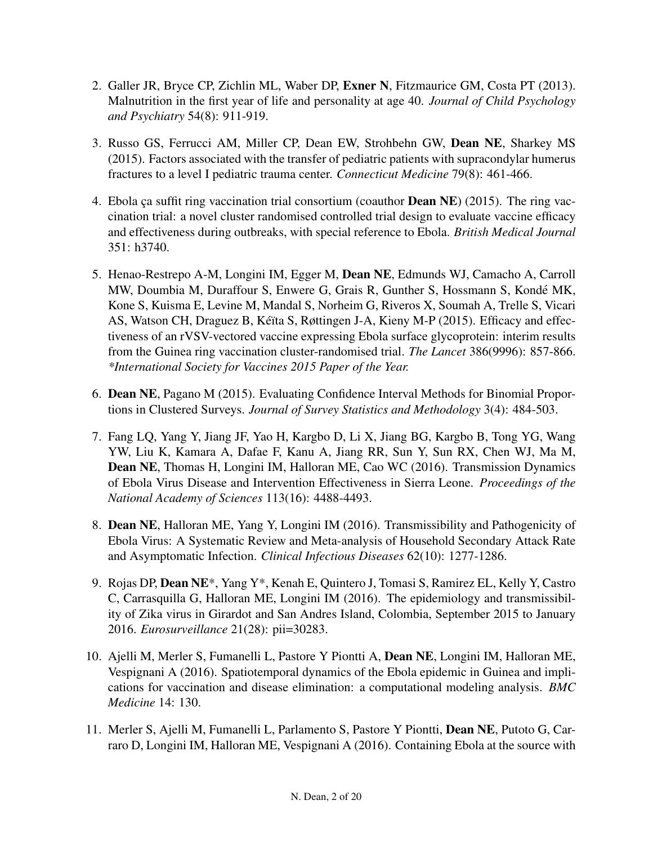- 2. Galler JR, Bryce CP, Zichlin ML, Waber DP, Exner N, Fitzmaurice GM, Costa PT (2013). Malnutrition in the first year of life and personality at age 40. *Journal of Child Psychology and Psychiatry* 54(8): 911-919.
- 3. Russo GS, Ferrucci AM, Miller CP, Dean EW, Strohbehn GW, Dean NE, Sharkey MS (2015). Factors associated with the transfer of pediatric patients with supracondylar humerus fractures to a level I pediatric trauma center. *Connecticut Medicine* 79(8): 461-466.
- 4. Ebola ca suffit ring vaccination trial consortium (coauthor **Dean NE**) (2015). The ring vaccination trial: a novel cluster randomised controlled trial design to evaluate vaccine efficacy and effectiveness during outbreaks, with special reference to Ebola. *British Medical Journal* 351: h3740.
- 5. Henao-Restrepo A-M, Longini IM, Egger M, Dean NE, Edmunds WJ, Camacho A, Carroll MW, Doumbia M, Duraffour S, Enwere G, Grais R, Gunther S, Hossmann S, Konde MK, ´ Kone S, Kuisma E, Levine M, Mandal S, Norheim G, Riveros X, Soumah A, Trelle S, Vicari AS, Watson CH, Draguez B, Kéïta S, Røttingen J-A, Kieny M-P (2015). Efficacy and effectiveness of an rVSV-vectored vaccine expressing Ebola surface glycoprotein: interim results from the Guinea ring vaccination cluster-randomised trial. *The Lancet* 386(9996): 857-866. *\*International Society for Vaccines 2015 Paper of the Year.*
- 6. Dean NE, Pagano M (2015). Evaluating Confidence Interval Methods for Binomial Proportions in Clustered Surveys. *Journal of Survey Statistics and Methodology* 3(4): 484-503.
- 7. Fang LQ, Yang Y, Jiang JF, Yao H, Kargbo D, Li X, Jiang BG, Kargbo B, Tong YG, Wang YW, Liu K, Kamara A, Dafae F, Kanu A, Jiang RR, Sun Y, Sun RX, Chen WJ, Ma M, Dean NE, Thomas H, Longini IM, Halloran ME, Cao WC (2016). Transmission Dynamics of Ebola Virus Disease and Intervention Effectiveness in Sierra Leone. *Proceedings of the National Academy of Sciences* 113(16): 4488-4493.
- 8. Dean NE, Halloran ME, Yang Y, Longini IM (2016). Transmissibility and Pathogenicity of Ebola Virus: A Systematic Review and Meta-analysis of Household Secondary Attack Rate and Asymptomatic Infection. *Clinical Infectious Diseases* 62(10): 1277-1286.
- 9. Rojas DP, Dean NE\*, Yang Y\*, Kenah E, Quintero J, Tomasi S, Ramirez EL, Kelly Y, Castro C, Carrasquilla G, Halloran ME, Longini IM (2016). The epidemiology and transmissibility of Zika virus in Girardot and San Andres Island, Colombia, September 2015 to January 2016. *Eurosurveillance* 21(28): pii=30283.
- 10. Ajelli M, Merler S, Fumanelli L, Pastore Y Piontti A, Dean NE, Longini IM, Halloran ME, Vespignani A (2016). Spatiotemporal dynamics of the Ebola epidemic in Guinea and implications for vaccination and disease elimination: a computational modeling analysis. *BMC Medicine* 14: 130.
- 11. Merler S, Ajelli M, Fumanelli L, Parlamento S, Pastore Y Piontti, Dean NE, Putoto G, Carraro D, Longini IM, Halloran ME, Vespignani A (2016). Containing Ebola at the source with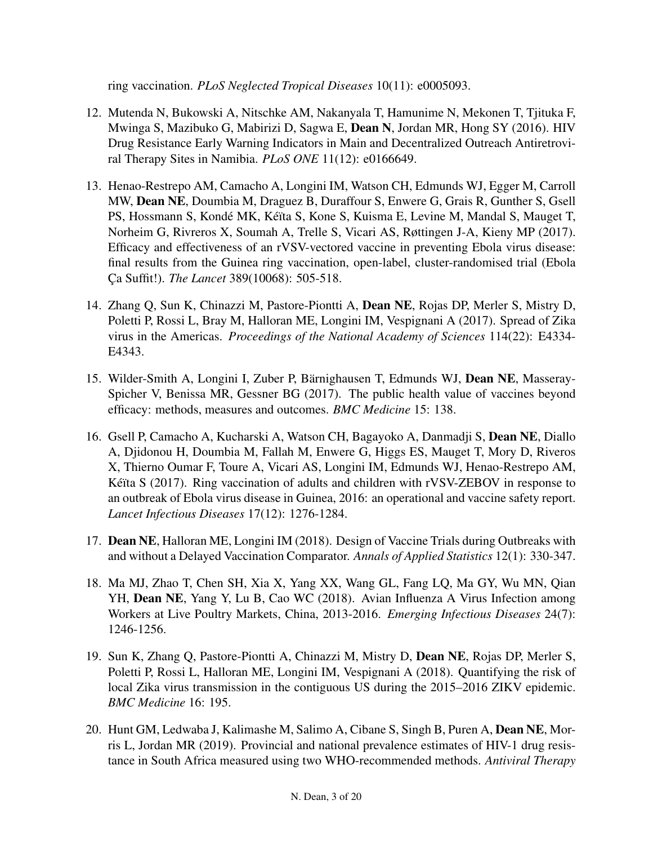ring vaccination. *PLoS Neglected Tropical Diseases* 10(11): e0005093.

- 12. Mutenda N, Bukowski A, Nitschke AM, Nakanyala T, Hamunime N, Mekonen T, Tjituka F, Mwinga S, Mazibuko G, Mabirizi D, Sagwa E, Dean N, Jordan MR, Hong SY (2016). HIV Drug Resistance Early Warning Indicators in Main and Decentralized Outreach Antiretroviral Therapy Sites in Namibia. *PLoS ONE* 11(12): e0166649.
- 13. Henao-Restrepo AM, Camacho A, Longini IM, Watson CH, Edmunds WJ, Egger M, Carroll MW, Dean NE, Doumbia M, Draguez B, Duraffour S, Enwere G, Grais R, Gunther S, Gsell PS, Hossmann S, Kondé MK, Kéïta S, Kone S, Kuisma E, Levine M, Mandal S, Mauget T, Norheim G, Rivreros X, Soumah A, Trelle S, Vicari AS, Røttingen J-A, Kieny MP (2017). Efficacy and effectiveness of an rVSV-vectored vaccine in preventing Ebola virus disease: final results from the Guinea ring vaccination, open-label, cluster-randomised trial (Ebola C¸ a Suffit!). *The Lancet* 389(10068): 505-518.
- 14. Zhang Q, Sun K, Chinazzi M, Pastore-Piontti A, Dean NE, Rojas DP, Merler S, Mistry D, Poletti P, Rossi L, Bray M, Halloran ME, Longini IM, Vespignani A (2017). Spread of Zika virus in the Americas. *Proceedings of the National Academy of Sciences* 114(22): E4334- E4343.
- 15. Wilder-Smith A, Longini I, Zuber P, Bärnighausen T, Edmunds WJ, Dean NE, Masseray-Spicher V, Benissa MR, Gessner BG (2017). The public health value of vaccines beyond efficacy: methods, measures and outcomes. *BMC Medicine* 15: 138.
- 16. Gsell P, Camacho A, Kucharski A, Watson CH, Bagayoko A, Danmadji S, Dean NE, Diallo A, Djidonou H, Doumbia M, Fallah M, Enwere G, Higgs ES, Mauget T, Mory D, Riveros X, Thierno Oumar F, Toure A, Vicari AS, Longini IM, Edmunds WJ, Henao-Restrepo AM, Kéïta S (2017). Ring vaccination of adults and children with rVSV-ZEBOV in response to an outbreak of Ebola virus disease in Guinea, 2016: an operational and vaccine safety report. *Lancet Infectious Diseases* 17(12): 1276-1284.
- 17. Dean NE, Halloran ME, Longini IM (2018). Design of Vaccine Trials during Outbreaks with and without a Delayed Vaccination Comparator. *Annals of Applied Statistics* 12(1): 330-347.
- 18. Ma MJ, Zhao T, Chen SH, Xia X, Yang XX, Wang GL, Fang LQ, Ma GY, Wu MN, Qian YH, Dean NE, Yang Y, Lu B, Cao WC (2018). Avian Influenza A Virus Infection among Workers at Live Poultry Markets, China, 2013-2016. *Emerging Infectious Diseases* 24(7): 1246-1256.
- 19. Sun K, Zhang Q, Pastore-Piontti A, Chinazzi M, Mistry D, Dean NE, Rojas DP, Merler S, Poletti P, Rossi L, Halloran ME, Longini IM, Vespignani A (2018). Quantifying the risk of local Zika virus transmission in the contiguous US during the 2015–2016 ZIKV epidemic. *BMC Medicine* 16: 195.
- 20. Hunt GM, Ledwaba J, Kalimashe M, Salimo A, Cibane S, Singh B, Puren A, Dean NE, Morris L, Jordan MR (2019). Provincial and national prevalence estimates of HIV-1 drug resistance in South Africa measured using two WHO-recommended methods. *Antiviral Therapy*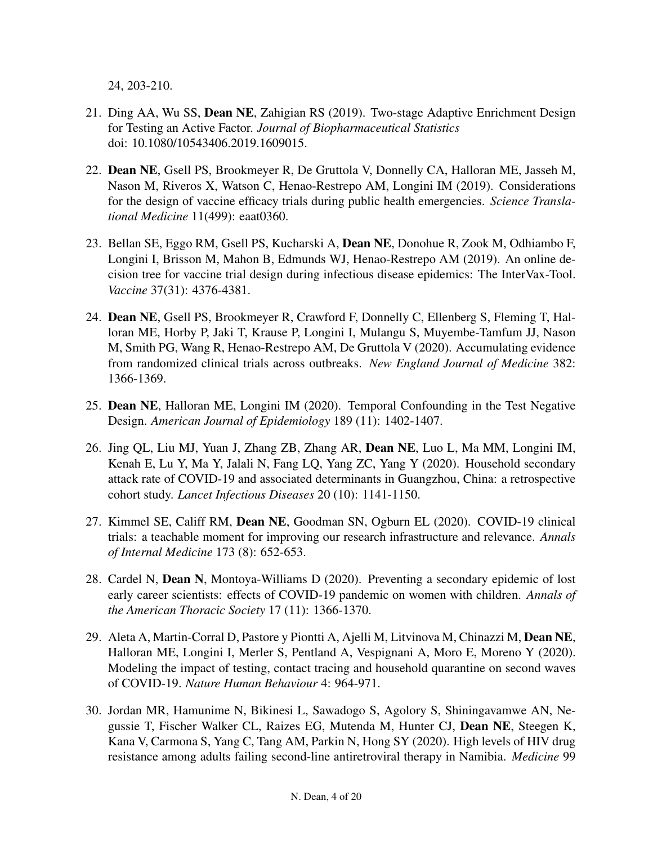24, 203-210.

- 21. Ding AA, Wu SS, Dean NE, Zahigian RS (2019). Two-stage Adaptive Enrichment Design for Testing an Active Factor. *Journal of Biopharmaceutical Statistics* doi: 10.1080/10543406.2019.1609015.
- 22. Dean NE, Gsell PS, Brookmeyer R, De Gruttola V, Donnelly CA, Halloran ME, Jasseh M, Nason M, Riveros X, Watson C, Henao-Restrepo AM, Longini IM (2019). Considerations for the design of vaccine efficacy trials during public health emergencies. *Science Translational Medicine* 11(499): eaat0360.
- 23. Bellan SE, Eggo RM, Gsell PS, Kucharski A, Dean NE, Donohue R, Zook M, Odhiambo F, Longini I, Brisson M, Mahon B, Edmunds WJ, Henao-Restrepo AM (2019). An online decision tree for vaccine trial design during infectious disease epidemics: The InterVax-Tool. *Vaccine* 37(31): 4376-4381.
- 24. Dean NE, Gsell PS, Brookmeyer R, Crawford F, Donnelly C, Ellenberg S, Fleming T, Halloran ME, Horby P, Jaki T, Krause P, Longini I, Mulangu S, Muyembe-Tamfum JJ, Nason M, Smith PG, Wang R, Henao-Restrepo AM, De Gruttola V (2020). Accumulating evidence from randomized clinical trials across outbreaks. *New England Journal of Medicine* 382: 1366-1369.
- 25. Dean NE, Halloran ME, Longini IM (2020). Temporal Confounding in the Test Negative Design. *American Journal of Epidemiology* 189 (11): 1402-1407.
- 26. Jing QL, Liu MJ, Yuan J, Zhang ZB, Zhang AR, Dean NE, Luo L, Ma MM, Longini IM, Kenah E, Lu Y, Ma Y, Jalali N, Fang LQ, Yang ZC, Yang Y (2020). Household secondary attack rate of COVID-19 and associated determinants in Guangzhou, China: a retrospective cohort study. *Lancet Infectious Diseases* 20 (10): 1141-1150.
- 27. Kimmel SE, Califf RM, Dean NE, Goodman SN, Ogburn EL (2020). COVID-19 clinical trials: a teachable moment for improving our research infrastructure and relevance. *Annals of Internal Medicine* 173 (8): 652-653.
- 28. Cardel N, Dean N, Montoya-Williams D (2020). Preventing a secondary epidemic of lost early career scientists: effects of COVID-19 pandemic on women with children. *Annals of the American Thoracic Society* 17 (11): 1366-1370.
- 29. Aleta A, Martin-Corral D, Pastore y Piontti A, Ajelli M, Litvinova M, Chinazzi M, Dean NE, Halloran ME, Longini I, Merler S, Pentland A, Vespignani A, Moro E, Moreno Y (2020). Modeling the impact of testing, contact tracing and household quarantine on second waves of COVID-19. *Nature Human Behaviour* 4: 964-971.
- 30. Jordan MR, Hamunime N, Bikinesi L, Sawadogo S, Agolory S, Shiningavamwe AN, Negussie T, Fischer Walker CL, Raizes EG, Mutenda M, Hunter CJ, Dean NE, Steegen K, Kana V, Carmona S, Yang C, Tang AM, Parkin N, Hong SY (2020). High levels of HIV drug resistance among adults failing second-line antiretroviral therapy in Namibia. *Medicine* 99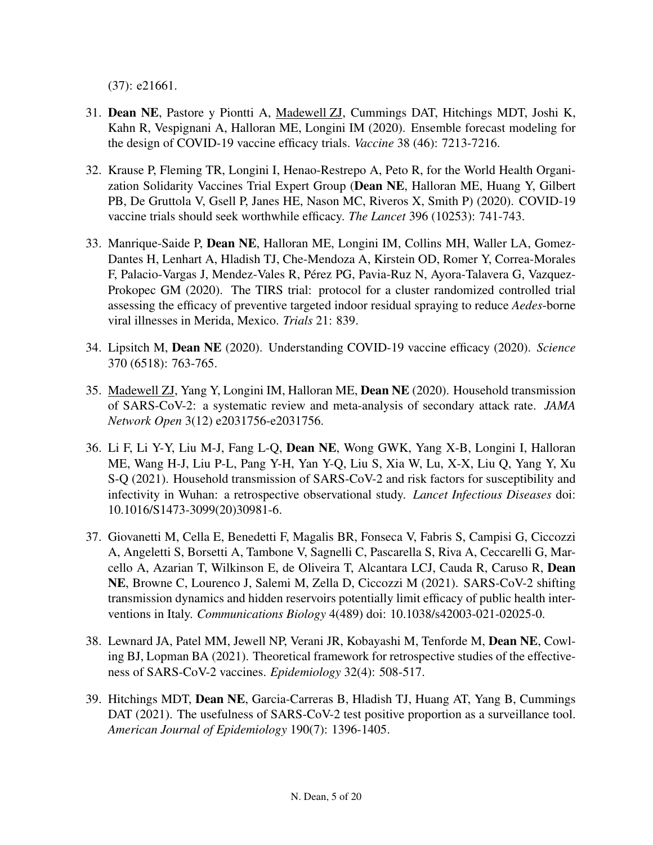(37): e21661.

- 31. Dean NE, Pastore y Piontti A, Madewell ZJ, Cummings DAT, Hitchings MDT, Joshi K, Kahn R, Vespignani A, Halloran ME, Longini IM (2020). Ensemble forecast modeling for the design of COVID-19 vaccine efficacy trials. *Vaccine* 38 (46): 7213-7216.
- 32. Krause P, Fleming TR, Longini I, Henao-Restrepo A, Peto R, for the World Health Organization Solidarity Vaccines Trial Expert Group (Dean NE, Halloran ME, Huang Y, Gilbert PB, De Gruttola V, Gsell P, Janes HE, Nason MC, Riveros X, Smith P) (2020). COVID-19 vaccine trials should seek worthwhile efficacy. *The Lancet* 396 (10253): 741-743.
- 33. Manrique-Saide P, Dean NE, Halloran ME, Longini IM, Collins MH, Waller LA, Gomez-Dantes H, Lenhart A, Hladish TJ, Che-Mendoza A, Kirstein OD, Romer Y, Correa-Morales F, Palacio-Vargas J, Mendez-Vales R, Pérez PG, Pavia-Ruz N, Ayora-Talavera G, Vazquez-Prokopec GM (2020). The TIRS trial: protocol for a cluster randomized controlled trial assessing the efficacy of preventive targeted indoor residual spraying to reduce *Aedes*-borne viral illnesses in Merida, Mexico. *Trials* 21: 839.
- 34. Lipsitch M, Dean NE (2020). Understanding COVID-19 vaccine efficacy (2020). *Science* 370 (6518): 763-765.
- 35. Madewell ZJ, Yang Y, Longini IM, Halloran ME, Dean NE (2020). Household transmission of SARS-CoV-2: a systematic review and meta-analysis of secondary attack rate. *JAMA Network Open* 3(12) e2031756-e2031756.
- 36. Li F, Li Y-Y, Liu M-J, Fang L-Q, Dean NE, Wong GWK, Yang X-B, Longini I, Halloran ME, Wang H-J, Liu P-L, Pang Y-H, Yan Y-Q, Liu S, Xia W, Lu, X-X, Liu Q, Yang Y, Xu S-Q (2021). Household transmission of SARS-CoV-2 and risk factors for susceptibility and infectivity in Wuhan: a retrospective observational study. *Lancet Infectious Diseases* doi: 10.1016/S1473-3099(20)30981-6.
- 37. Giovanetti M, Cella E, Benedetti F, Magalis BR, Fonseca V, Fabris S, Campisi G, Ciccozzi A, Angeletti S, Borsetti A, Tambone V, Sagnelli C, Pascarella S, Riva A, Ceccarelli G, Marcello A, Azarian T, Wilkinson E, de Oliveira T, Alcantara LCJ, Cauda R, Caruso R, Dean NE, Browne C, Lourenco J, Salemi M, Zella D, Ciccozzi M (2021). SARS-CoV-2 shifting transmission dynamics and hidden reservoirs potentially limit efficacy of public health interventions in Italy. *Communications Biology* 4(489) doi: 10.1038/s42003-021-02025-0.
- 38. Lewnard JA, Patel MM, Jewell NP, Verani JR, Kobayashi M, Tenforde M, Dean NE, Cowling BJ, Lopman BA (2021). Theoretical framework for retrospective studies of the effectiveness of SARS-CoV-2 vaccines. *Epidemiology* 32(4): 508-517.
- 39. Hitchings MDT, Dean NE, Garcia-Carreras B, Hladish TJ, Huang AT, Yang B, Cummings DAT (2021). The usefulness of SARS-CoV-2 test positive proportion as a surveillance tool. *American Journal of Epidemiology* 190(7): 1396-1405.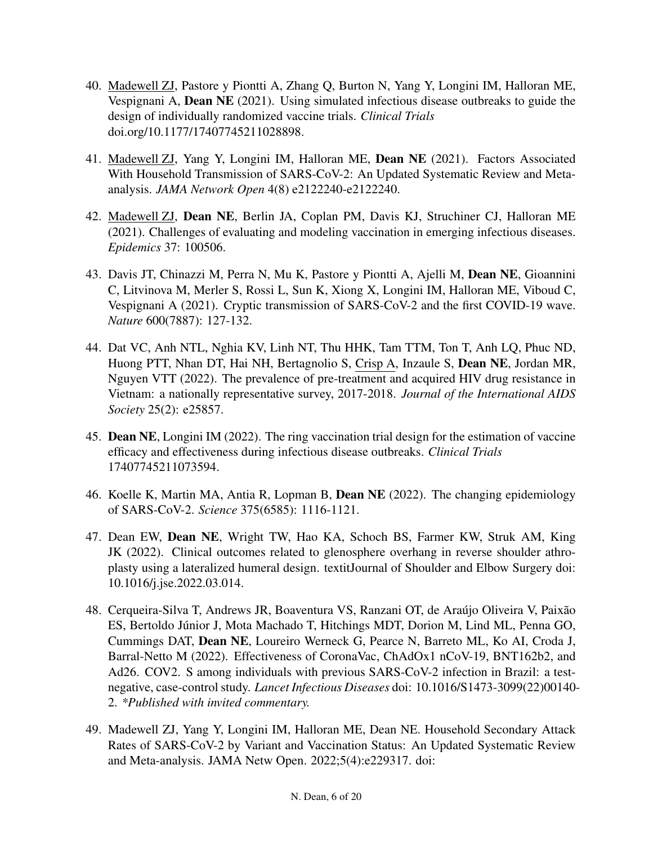- 40. Madewell ZJ, Pastore y Piontti A, Zhang Q, Burton N, Yang Y, Longini IM, Halloran ME, Vespignani A, Dean NE (2021). Using simulated infectious disease outbreaks to guide the design of individually randomized vaccine trials. *Clinical Trials* doi.org/10.1177/17407745211028898.
- 41. Madewell ZJ, Yang Y, Longini IM, Halloran ME, Dean NE (2021). Factors Associated With Household Transmission of SARS-CoV-2: An Updated Systematic Review and Metaanalysis. *JAMA Network Open* 4(8) e2122240-e2122240.
- 42. Madewell ZJ, Dean NE, Berlin JA, Coplan PM, Davis KJ, Struchiner CJ, Halloran ME (2021). Challenges of evaluating and modeling vaccination in emerging infectious diseases. *Epidemics* 37: 100506.
- 43. Davis JT, Chinazzi M, Perra N, Mu K, Pastore y Piontti A, Ajelli M, Dean NE, Gioannini C, Litvinova M, Merler S, Rossi L, Sun K, Xiong X, Longini IM, Halloran ME, Viboud C, Vespignani A (2021). Cryptic transmission of SARS-CoV-2 and the first COVID-19 wave. *Nature* 600(7887): 127-132.
- 44. Dat VC, Anh NTL, Nghia KV, Linh NT, Thu HHK, Tam TTM, Ton T, Anh LQ, Phuc ND, Huong PTT, Nhan DT, Hai NH, Bertagnolio S, Crisp A, Inzaule S, Dean NE, Jordan MR, Nguyen VTT (2022). The prevalence of pre-treatment and acquired HIV drug resistance in Vietnam: a nationally representative survey, 2017-2018. *Journal of the International AIDS Society* 25(2): e25857.
- 45. Dean NE, Longini IM (2022). The ring vaccination trial design for the estimation of vaccine efficacy and effectiveness during infectious disease outbreaks. *Clinical Trials* 17407745211073594.
- 46. Koelle K, Martin MA, Antia R, Lopman B, Dean NE (2022). The changing epidemiology of SARS-CoV-2. *Science* 375(6585): 1116-1121.
- 47. Dean EW, Dean NE, Wright TW, Hao KA, Schoch BS, Farmer KW, Struk AM, King JK (2022). Clinical outcomes related to glenosphere overhang in reverse shoulder athroplasty using a lateralized humeral design. textitJournal of Shoulder and Elbow Surgery doi: 10.1016/j.jse.2022.03.014.
- 48. Cerqueira-Silva T, Andrews JR, Boaventura VS, Ranzani OT, de Araújo Oliveira V, Paixão ES, Bertoldo Júnior J, Mota Machado T, Hitchings MDT, Dorion M, Lind ML, Penna GO, Cummings DAT, Dean NE, Loureiro Werneck G, Pearce N, Barreto ML, Ko AI, Croda J, Barral-Netto M (2022). Effectiveness of CoronaVac, ChAdOx1 nCoV-19, BNT162b2, and Ad26. COV2. S among individuals with previous SARS-CoV-2 infection in Brazil: a testnegative, case-control study. *Lancet Infectious Diseases* doi: 10.1016/S1473-3099(22)00140- 2. *\*Published with invited commentary.*
- 49. Madewell ZJ, Yang Y, Longini IM, Halloran ME, Dean NE. Household Secondary Attack Rates of SARS-CoV-2 by Variant and Vaccination Status: An Updated Systematic Review and Meta-analysis. JAMA Netw Open. 2022;5(4):e229317. doi: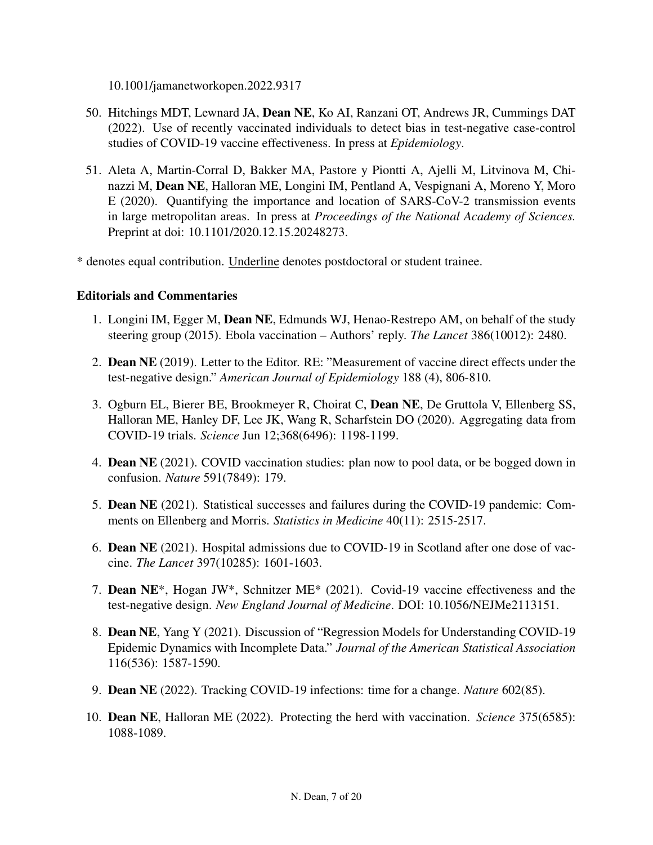10.1001/jamanetworkopen.2022.9317

- 50. Hitchings MDT, Lewnard JA, Dean NE, Ko AI, Ranzani OT, Andrews JR, Cummings DAT (2022). Use of recently vaccinated individuals to detect bias in test-negative case-control studies of COVID-19 vaccine effectiveness. In press at *Epidemiology*.
- 51. Aleta A, Martin-Corral D, Bakker MA, Pastore y Piontti A, Ajelli M, Litvinova M, Chinazzi M, Dean NE, Halloran ME, Longini IM, Pentland A, Vespignani A, Moreno Y, Moro E (2020). Quantifying the importance and location of SARS-CoV-2 transmission events in large metropolitan areas. In press at *Proceedings of the National Academy of Sciences.* Preprint at doi: 10.1101/2020.12.15.20248273.
- \* denotes equal contribution. Underline denotes postdoctoral or student trainee.

## Editorials and Commentaries

- 1. Longini IM, Egger M, Dean NE, Edmunds WJ, Henao-Restrepo AM, on behalf of the study steering group (2015). Ebola vaccination – Authors' reply. *The Lancet* 386(10012): 2480.
- 2. Dean NE (2019). Letter to the Editor. RE: "Measurement of vaccine direct effects under the test-negative design." *American Journal of Epidemiology* 188 (4), 806-810.
- 3. Ogburn EL, Bierer BE, Brookmeyer R, Choirat C, Dean NE, De Gruttola V, Ellenberg SS, Halloran ME, Hanley DF, Lee JK, Wang R, Scharfstein DO (2020). Aggregating data from COVID-19 trials. *Science* Jun 12;368(6496): 1198-1199.
- 4. Dean NE (2021). COVID vaccination studies: plan now to pool data, or be bogged down in confusion. *Nature* 591(7849): 179.
- 5. Dean NE (2021). Statistical successes and failures during the COVID-19 pandemic: Comments on Ellenberg and Morris. *Statistics in Medicine* 40(11): 2515-2517.
- 6. Dean NE (2021). Hospital admissions due to COVID-19 in Scotland after one dose of vaccine. *The Lancet* 397(10285): 1601-1603.
- 7. Dean NE\*, Hogan JW\*, Schnitzer ME\* (2021). Covid-19 vaccine effectiveness and the test-negative design. *New England Journal of Medicine*. DOI: 10.1056/NEJMe2113151.
- 8. Dean NE, Yang Y (2021). Discussion of "Regression Models for Understanding COVID-19 Epidemic Dynamics with Incomplete Data." *Journal of the American Statistical Association* 116(536): 1587-1590.
- 9. Dean NE (2022). Tracking COVID-19 infections: time for a change. *Nature* 602(85).
- 10. Dean NE, Halloran ME (2022). Protecting the herd with vaccination. *Science* 375(6585): 1088-1089.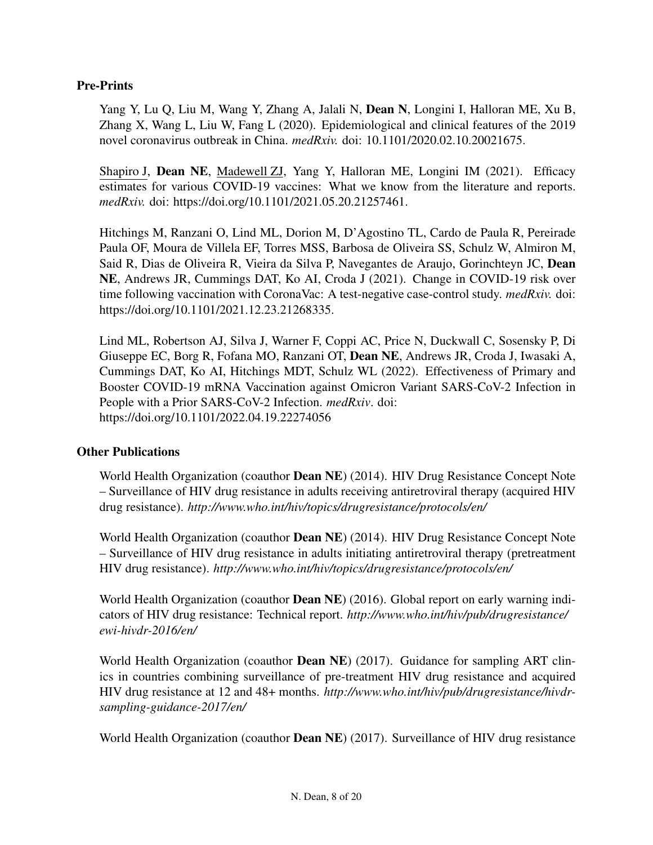## Pre-Prints

Yang Y, Lu Q, Liu M, Wang Y, Zhang A, Jalali N, Dean N, Longini I, Halloran ME, Xu B, Zhang X, Wang L, Liu W, Fang L (2020). Epidemiological and clinical features of the 2019 novel coronavirus outbreak in China. *medRxiv.* doi: 10.1101/2020.02.10.20021675.

Shapiro J, Dean NE, Madewell ZJ, Yang Y, Halloran ME, Longini IM (2021). Efficacy estimates for various COVID-19 vaccines: What we know from the literature and reports. *medRxiv.* doi: https://doi.org/10.1101/2021.05.20.21257461.

Hitchings M, Ranzani O, Lind ML, Dorion M, D'Agostino TL, Cardo de Paula R, Pereirade Paula OF, Moura de Villela EF, Torres MSS, Barbosa de Oliveira SS, Schulz W, Almiron M, Said R, Dias de Oliveira R, Vieira da Silva P, Navegantes de Araujo, Gorinchteyn JC, Dean NE, Andrews JR, Cummings DAT, Ko AI, Croda J (2021). Change in COVID-19 risk over time following vaccination with CoronaVac: A test-negative case-control study. *medRxiv.* doi: https://doi.org/10.1101/2021.12.23.21268335.

Lind ML, Robertson AJ, Silva J, Warner F, Coppi AC, Price N, Duckwall C, Sosensky P, Di Giuseppe EC, Borg R, Fofana MO, Ranzani OT, Dean NE, Andrews JR, Croda J, Iwasaki A, Cummings DAT, Ko AI, Hitchings MDT, Schulz WL (2022). Effectiveness of Primary and Booster COVID-19 mRNA Vaccination against Omicron Variant SARS-CoV-2 Infection in People with a Prior SARS-CoV-2 Infection. *medRxiv*. doi: https://doi.org/10.1101/2022.04.19.22274056

#### Other Publications

World Health Organization (coauthor Dean NE) (2014). HIV Drug Resistance Concept Note – Surveillance of HIV drug resistance in adults receiving antiretroviral therapy (acquired HIV drug resistance). *http://www.who.int/hiv/topics/drugresistance/protocols/en/*

World Health Organization (coauthor Dean NE) (2014). HIV Drug Resistance Concept Note – Surveillance of HIV drug resistance in adults initiating antiretroviral therapy (pretreatment HIV drug resistance). *http://www.who.int/hiv/topics/drugresistance/protocols/en/*

World Health Organization (coauthor **Dean NE**) (2016). Global report on early warning indicators of HIV drug resistance: Technical report. *http://www.who.int/hiv/pub/drugresistance/ ewi-hivdr-2016/en/*

World Health Organization (coauthor **Dean NE**) (2017). Guidance for sampling ART clinics in countries combining surveillance of pre-treatment HIV drug resistance and acquired HIV drug resistance at 12 and 48+ months. *http://www.who.int/hiv/pub/drugresistance/hivdrsampling-guidance-2017/en/*

World Health Organization (coauthor **Dean NE**) (2017). Surveillance of HIV drug resistance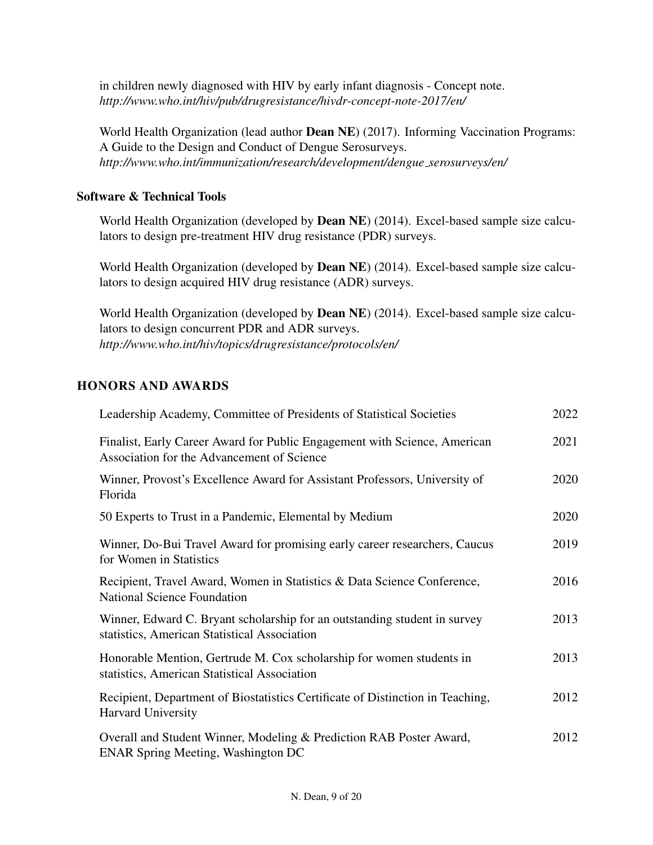in children newly diagnosed with HIV by early infant diagnosis - Concept note. *http://www.who.int/hiv/pub/drugresistance/hivdr-concept-note-2017/en/*

World Health Organization (lead author Dean NE) (2017). Informing Vaccination Programs: A Guide to the Design and Conduct of Dengue Serosurveys. *http://www.who.int/immunization/research/development/dengue serosurveys/en/*

## Software & Technical Tools

World Health Organization (developed by Dean NE) (2014). Excel-based sample size calculators to design pre-treatment HIV drug resistance (PDR) surveys.

World Health Organization (developed by Dean NE) (2014). Excel-based sample size calculators to design acquired HIV drug resistance (ADR) surveys.

World Health Organization (developed by Dean NE) (2014). Excel-based sample size calculators to design concurrent PDR and ADR surveys. *http://www.who.int/hiv/topics/drugresistance/protocols/en/*

## HONORS AND AWARDS

| Leadership Academy, Committee of Presidents of Statistical Societies                                                      | 2022 |
|---------------------------------------------------------------------------------------------------------------------------|------|
| Finalist, Early Career Award for Public Engagement with Science, American<br>Association for the Advancement of Science   | 2021 |
| Winner, Provost's Excellence Award for Assistant Professors, University of<br>Florida                                     | 2020 |
| 50 Experts to Trust in a Pandemic, Elemental by Medium                                                                    | 2020 |
| Winner, Do-Bui Travel Award for promising early career researchers, Caucus<br>for Women in Statistics                     | 2019 |
| Recipient, Travel Award, Women in Statistics & Data Science Conference,<br><b>National Science Foundation</b>             | 2016 |
| Winner, Edward C. Bryant scholarship for an outstanding student in survey<br>statistics, American Statistical Association | 2013 |
| Honorable Mention, Gertrude M. Cox scholarship for women students in<br>statistics, American Statistical Association      | 2013 |
| Recipient, Department of Biostatistics Certificate of Distinction in Teaching,<br>Harvard University                      | 2012 |
| Overall and Student Winner, Modeling & Prediction RAB Poster Award,<br><b>ENAR Spring Meeting, Washington DC</b>          | 2012 |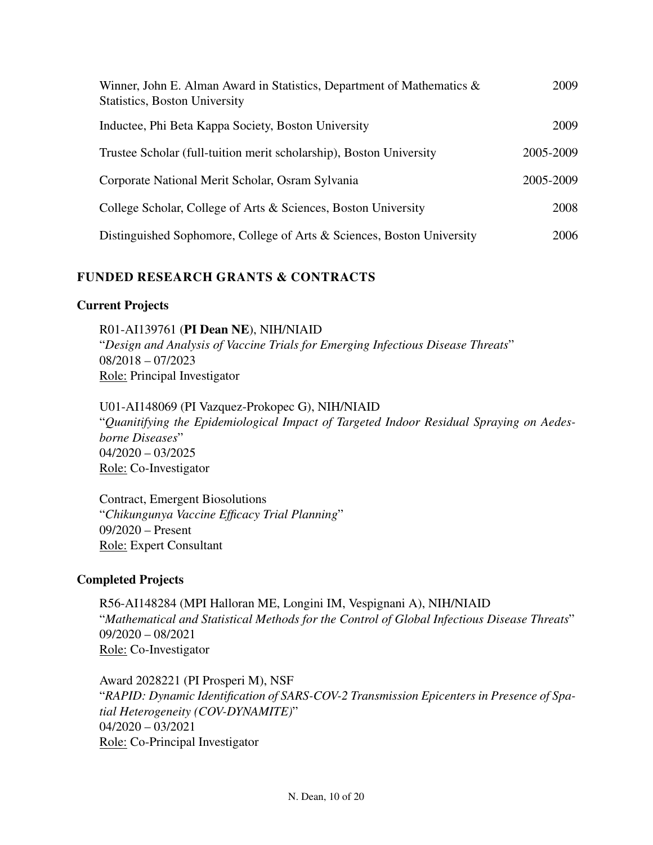| Winner, John E. Alman Award in Statistics, Department of Mathematics $\&$<br><b>Statistics, Boston University</b> | 2009      |
|-------------------------------------------------------------------------------------------------------------------|-----------|
| Inductee, Phi Beta Kappa Society, Boston University                                                               | 2009      |
| Trustee Scholar (full-tuition merit scholarship), Boston University                                               | 2005-2009 |
| Corporate National Merit Scholar, Osram Sylvania                                                                  | 2005-2009 |
| College Scholar, College of Arts & Sciences, Boston University                                                    | 2008      |
| Distinguished Sophomore, College of Arts & Sciences, Boston University                                            | 2006      |

# FUNDED RESEARCH GRANTS & CONTRACTS

## Current Projects

R01-AI139761 (PI Dean NE), NIH/NIAID "*Design and Analysis of Vaccine Trials for Emerging Infectious Disease Threats*" 08/2018 – 07/2023 Role: Principal Investigator

U01-AI148069 (PI Vazquez-Prokopec G), NIH/NIAID "*Quanitifying the Epidemiological Impact of Targeted Indoor Residual Spraying on Aedesborne Diseases*" 04/2020 – 03/2025 Role: Co-Investigator

Contract, Emergent Biosolutions "*Chikungunya Vaccine Efficacy Trial Planning*" 09/2020 – Present Role: Expert Consultant

## Completed Projects

R56-AI148284 (MPI Halloran ME, Longini IM, Vespignani A), NIH/NIAID "*Mathematical and Statistical Methods for the Control of Global Infectious Disease Threats*" 09/2020 – 08/2021 Role: Co-Investigator

Award 2028221 (PI Prosperi M), NSF "*RAPID: Dynamic Identification of SARS-COV-2 Transmission Epicenters in Presence of Spatial Heterogeneity (COV-DYNAMITE)*" 04/2020 – 03/2021 Role: Co-Principal Investigator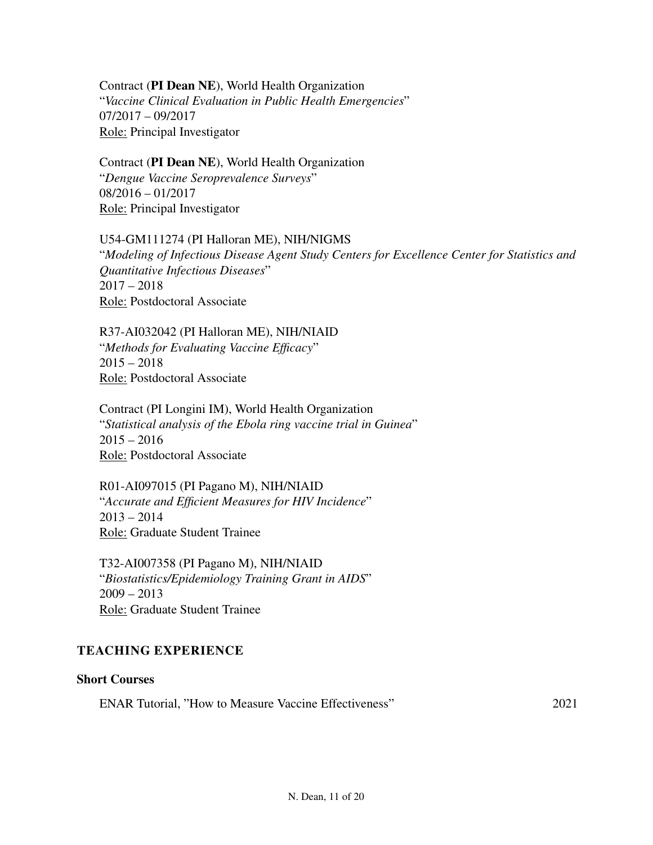Contract (PI Dean NE), World Health Organization "*Vaccine Clinical Evaluation in Public Health Emergencies*" 07/2017 – 09/2017 Role: Principal Investigator

Contract (PI Dean NE), World Health Organization "*Dengue Vaccine Seroprevalence Surveys*"

08/2016 – 01/2017 Role: Principal Investigator

U54-GM111274 (PI Halloran ME), NIH/NIGMS "*Modeling of Infectious Disease Agent Study Centers for Excellence Center for Statistics and Quantitative Infectious Diseases*" 2017 – 2018 Role: Postdoctoral Associate

R37-AI032042 (PI Halloran ME), NIH/NIAID "*Methods for Evaluating Vaccine Efficacy*"  $2015 - 2018$ Role: Postdoctoral Associate

Contract (PI Longini IM), World Health Organization "*Statistical analysis of the Ebola ring vaccine trial in Guinea*"  $2015 - 2016$ Role: Postdoctoral Associate

R01-AI097015 (PI Pagano M), NIH/NIAID "*Accurate and Efficient Measures for HIV Incidence*"  $2013 - 2014$ Role: Graduate Student Trainee

T32-AI007358 (PI Pagano M), NIH/NIAID "*Biostatistics/Epidemiology Training Grant in AIDS*"  $2009 - 2013$ Role: Graduate Student Trainee

## TEACHING EXPERIENCE

#### Short Courses

ENAR Tutorial, "How to Measure Vaccine Effectiveness" 2021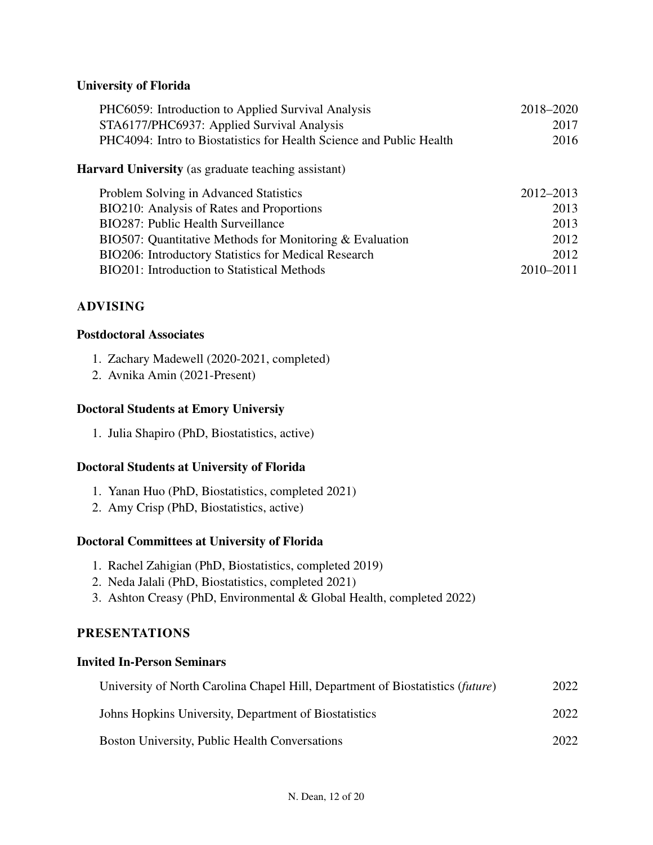## University of Florida

| PHC6059: Introduction to Applied Survival Analysis                   | 2018–2020     |  |  |
|----------------------------------------------------------------------|---------------|--|--|
| STA6177/PHC6937: Applied Survival Analysis                           | 2017          |  |  |
| PHC4094: Intro to Biostatistics for Health Science and Public Health | 2016          |  |  |
| <b>Harvard University</b> (as graduate teaching assistant)           |               |  |  |
| Problem Solving in Advanced Statistics                               | 2012–2013     |  |  |
| BIO210: Analysis of Rates and Proportions                            | 2013          |  |  |
| BIO287: Public Health Surveillance                                   | 2013          |  |  |
| BIO507: Quantitative Methods for Monitoring & Evaluation             | 2012          |  |  |
| BIO206: Introductory Statistics for Medical Research                 | 2012          |  |  |
| <b>BIO201:</b> Introduction to Statistical Methods                   | $2010 - 2011$ |  |  |

## ADVISING

#### Postdoctoral Associates

- 1. Zachary Madewell (2020-2021, completed)
- 2. Avnika Amin (2021-Present)

#### Doctoral Students at Emory Universiy

1. Julia Shapiro (PhD, Biostatistics, active)

#### Doctoral Students at University of Florida

- 1. Yanan Huo (PhD, Biostatistics, completed 2021)
- 2. Amy Crisp (PhD, Biostatistics, active)

#### Doctoral Committees at University of Florida

- 1. Rachel Zahigian (PhD, Biostatistics, completed 2019)
- 2. Neda Jalali (PhD, Biostatistics, completed 2021)
- 3. Ashton Creasy (PhD, Environmental & Global Health, completed 2022)

## PRESENTATIONS

#### Invited In-Person Seminars

| University of North Carolina Chapel Hill, Department of Biostatistics (future) | 2022 |
|--------------------------------------------------------------------------------|------|
| Johns Hopkins University, Department of Biostatistics                          | 2022 |
| <b>Boston University, Public Health Conversations</b>                          | 2022 |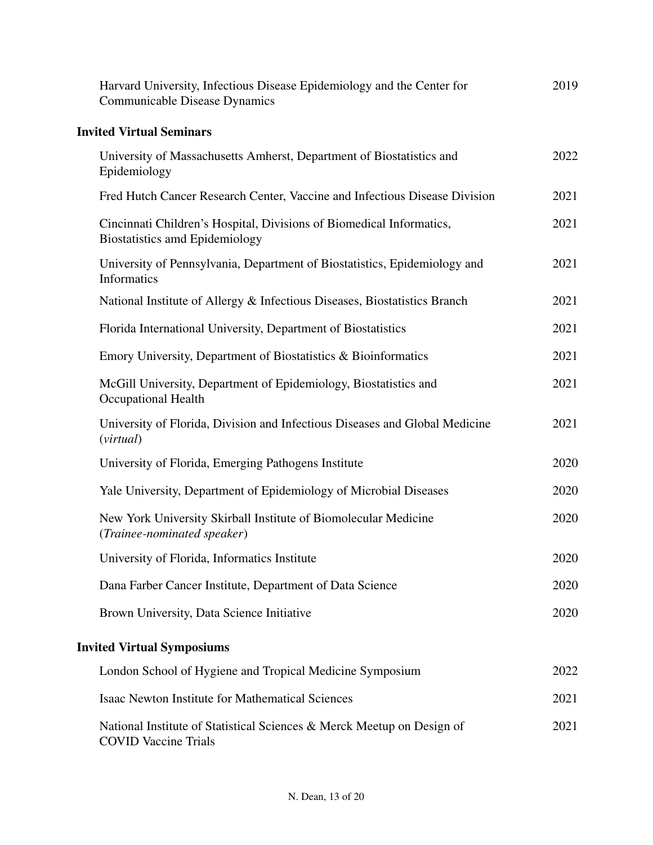| Harvard University, Infectious Disease Epidemiology and the Center for<br>Communicable Disease Dynamics       | 2019 |
|---------------------------------------------------------------------------------------------------------------|------|
| <b>Invited Virtual Seminars</b>                                                                               |      |
| University of Massachusetts Amherst, Department of Biostatistics and<br>Epidemiology                          | 2022 |
| Fred Hutch Cancer Research Center, Vaccine and Infectious Disease Division                                    | 2021 |
| Cincinnati Children's Hospital, Divisions of Biomedical Informatics,<br><b>Biostatistics amd Epidemiology</b> | 2021 |
| University of Pennsylvania, Department of Biostatistics, Epidemiology and<br>Informatics                      | 2021 |
| National Institute of Allergy & Infectious Diseases, Biostatistics Branch                                     | 2021 |
| Florida International University, Department of Biostatistics                                                 | 2021 |
| Emory University, Department of Biostatistics & Bioinformatics                                                | 2021 |
| McGill University, Department of Epidemiology, Biostatistics and<br>Occupational Health                       | 2021 |
| University of Florida, Division and Infectious Diseases and Global Medicine<br>(virtual)                      | 2021 |
| University of Florida, Emerging Pathogens Institute                                                           | 2020 |
| Yale University, Department of Epidemiology of Microbial Diseases                                             | 2020 |
| New York University Skirball Institute of Biomolecular Medicine<br>(Trainee-nominated speaker)                | 2020 |
| University of Florida, Informatics Institute                                                                  | 2020 |
| Dana Farber Cancer Institute, Department of Data Science                                                      | 2020 |
| Brown University, Data Science Initiative                                                                     | 2020 |
| <b>Invited Virtual Symposiums</b>                                                                             |      |
| London School of Hygiene and Tropical Medicine Symposium                                                      | 2022 |
| <b>Isaac Newton Institute for Mathematical Sciences</b>                                                       | 2021 |
| National Institute of Statistical Sciences & Merck Meetup on Design of<br><b>COVID Vaccine Trials</b>         | 2021 |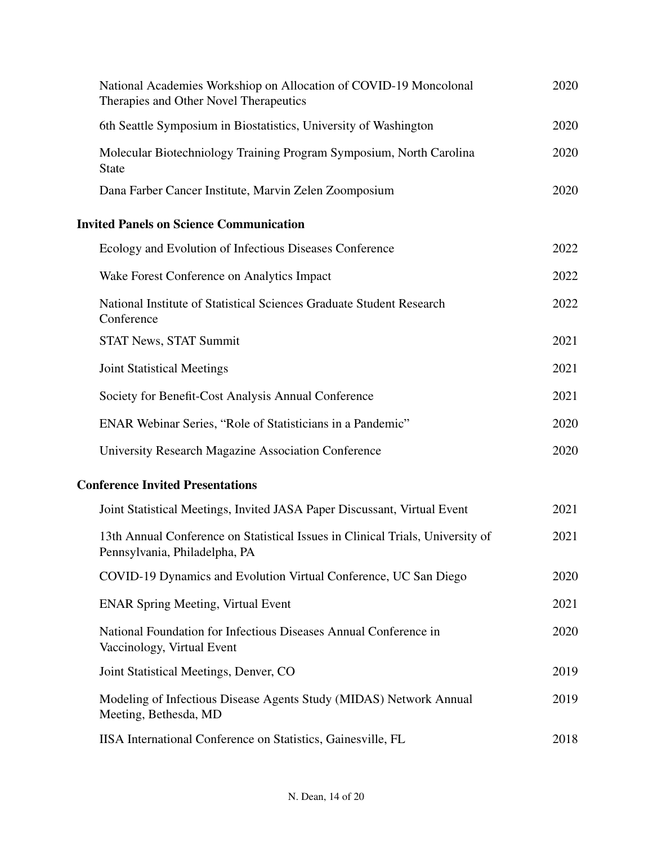| National Academies Workshiop on Allocation of COVID-19 Moncolonal<br>Therapies and Other Novel Therapeutics     | 2020 |
|-----------------------------------------------------------------------------------------------------------------|------|
| 6th Seattle Symposium in Biostatistics, University of Washington                                                | 2020 |
| Molecular Biotechniology Training Program Symposium, North Carolina<br><b>State</b>                             | 2020 |
| Dana Farber Cancer Institute, Marvin Zelen Zoomposium                                                           | 2020 |
| <b>Invited Panels on Science Communication</b>                                                                  |      |
| Ecology and Evolution of Infectious Diseases Conference                                                         | 2022 |
| Wake Forest Conference on Analytics Impact                                                                      | 2022 |
| National Institute of Statistical Sciences Graduate Student Research<br>Conference                              | 2022 |
| <b>STAT News, STAT Summit</b>                                                                                   | 2021 |
| <b>Joint Statistical Meetings</b>                                                                               | 2021 |
| Society for Benefit-Cost Analysis Annual Conference                                                             | 2021 |
| ENAR Webinar Series, "Role of Statisticians in a Pandemic"                                                      | 2020 |
| University Research Magazine Association Conference                                                             | 2020 |
| <b>Conference Invited Presentations</b>                                                                         |      |
| Joint Statistical Meetings, Invited JASA Paper Discussant, Virtual Event                                        | 2021 |
| 13th Annual Conference on Statistical Issues in Clinical Trials, University of<br>Pennsylvania, Philadelpha, PA | 2021 |
| COVID-19 Dynamics and Evolution Virtual Conference, UC San Diego                                                | 2020 |
| <b>ENAR Spring Meeting, Virtual Event</b>                                                                       | 2021 |
| National Foundation for Infectious Diseases Annual Conference in<br>Vaccinology, Virtual Event                  | 2020 |
| Joint Statistical Meetings, Denver, CO                                                                          | 2019 |
| Modeling of Infectious Disease Agents Study (MIDAS) Network Annual<br>Meeting, Bethesda, MD                     | 2019 |
| IISA International Conference on Statistics, Gainesville, FL                                                    | 2018 |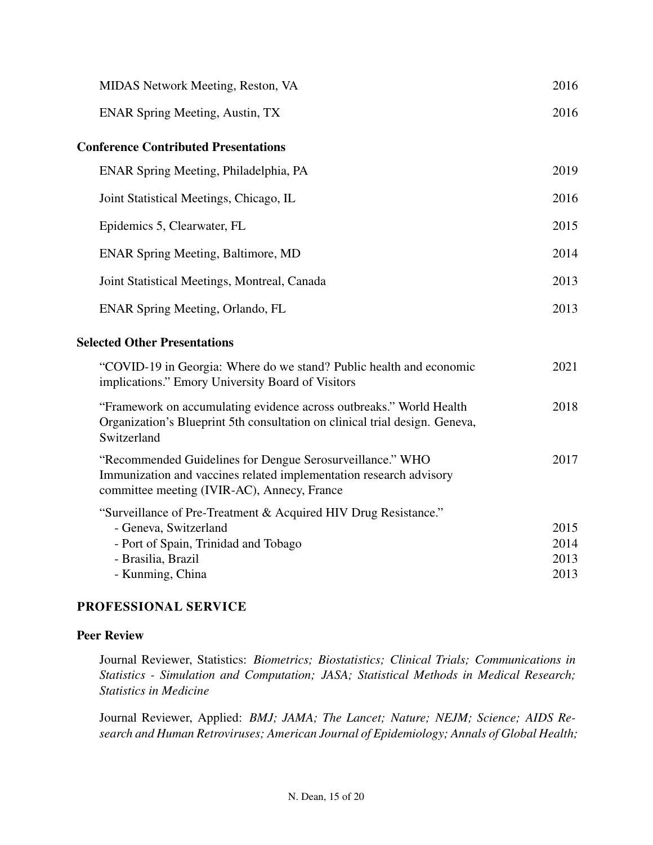| MIDAS Network Meeting, Reston, VA                                                                                                                                              | 2016                         |  |  |
|--------------------------------------------------------------------------------------------------------------------------------------------------------------------------------|------------------------------|--|--|
| <b>ENAR Spring Meeting, Austin, TX</b>                                                                                                                                         | 2016                         |  |  |
| <b>Conference Contributed Presentations</b>                                                                                                                                    |                              |  |  |
| ENAR Spring Meeting, Philadelphia, PA                                                                                                                                          | 2019                         |  |  |
| Joint Statistical Meetings, Chicago, IL                                                                                                                                        | 2016                         |  |  |
| Epidemics 5, Clearwater, FL                                                                                                                                                    | 2015                         |  |  |
| <b>ENAR Spring Meeting, Baltimore, MD</b>                                                                                                                                      | 2014                         |  |  |
| Joint Statistical Meetings, Montreal, Canada                                                                                                                                   | 2013                         |  |  |
| ENAR Spring Meeting, Orlando, FL                                                                                                                                               | 2013                         |  |  |
| <b>Selected Other Presentations</b>                                                                                                                                            |                              |  |  |
| "COVID-19 in Georgia: Where do we stand? Public health and economic<br>implications." Emory University Board of Visitors                                                       | 2021                         |  |  |
| "Framework on accumulating evidence across outbreaks." World Health<br>Organization's Blueprint 5th consultation on clinical trial design. Geneva,<br>Switzerland              | 2018                         |  |  |
| "Recommended Guidelines for Dengue Serosurveillance." WHO<br>Immunization and vaccines related implementation research advisory<br>committee meeting (IVIR-AC), Annecy, France | 2017                         |  |  |
| "Surveillance of Pre-Treatment & Acquired HIV Drug Resistance."<br>- Geneva, Switzerland<br>- Port of Spain, Trinidad and Tobago<br>- Brasilia, Brazil<br>- Kunming, China     | 2015<br>2014<br>2013<br>2013 |  |  |

## PROFESSIONAL SERVICE

# Peer Review

Journal Reviewer, Statistics: *Biometrics; Biostatistics; Clinical Trials; Communications in Statistics - Simulation and Computation; JASA; Statistical Methods in Medical Research; Statistics in Medicine*

Journal Reviewer, Applied: *BMJ; JAMA; The Lancet; Nature; NEJM; Science; AIDS Research and Human Retroviruses; American Journal of Epidemiology; Annals of Global Health;*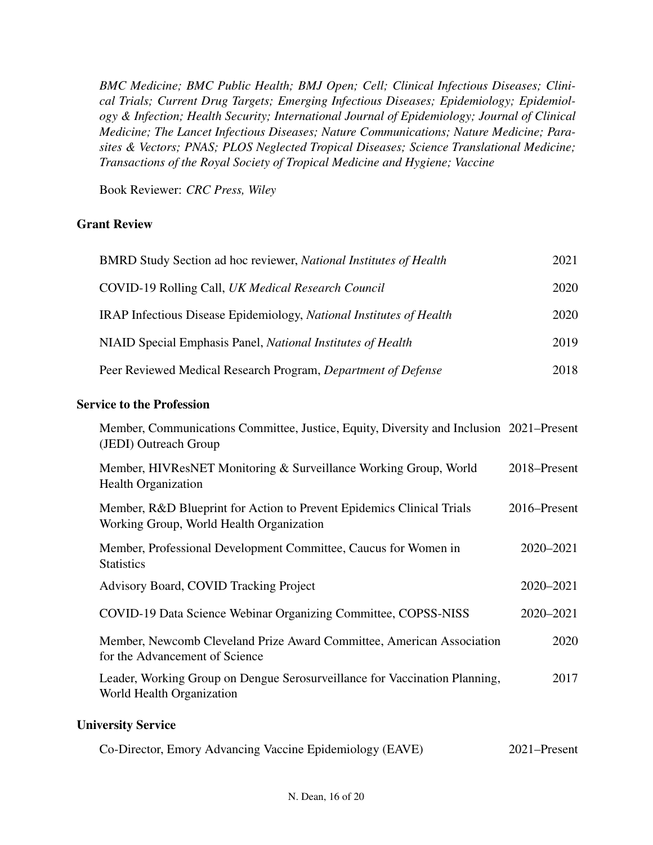*BMC Medicine; BMC Public Health; BMJ Open; Cell; Clinical Infectious Diseases; Clinical Trials; Current Drug Targets; Emerging Infectious Diseases; Epidemiology; Epidemiology & Infection; Health Security; International Journal of Epidemiology; Journal of Clinical Medicine; The Lancet Infectious Diseases; Nature Communications; Nature Medicine; Parasites & Vectors; PNAS; PLOS Neglected Tropical Diseases; Science Translational Medicine; Transactions of the Royal Society of Tropical Medicine and Hygiene; Vaccine*

Book Reviewer: *CRC Press, Wiley*

## Grant Review

| BMRD Study Section ad hoc reviewer, National Institutes of Health   | 2021 |
|---------------------------------------------------------------------|------|
| COVID-19 Rolling Call, UK Medical Research Council                  | 2020 |
| IRAP Infectious Disease Epidemiology, National Institutes of Health | 2020 |
| NIAID Special Emphasis Panel, National Institutes of Health         | 2019 |
| Peer Reviewed Medical Research Program, Department of Defense       | 2018 |
|                                                                     |      |

#### Service to the Profession

| Member, Communications Committee, Justice, Equity, Diversity and Inclusion 2021–Present<br>(JEDI) Outreach Group  |              |
|-------------------------------------------------------------------------------------------------------------------|--------------|
| Member, HIVResNET Monitoring & Surveillance Working Group, World<br><b>Health Organization</b>                    | 2018–Present |
| Member, R&D Blueprint for Action to Prevent Epidemics Clinical Trials<br>Working Group, World Health Organization | 2016–Present |
| Member, Professional Development Committee, Caucus for Women in<br><b>Statistics</b>                              | 2020-2021    |
| Advisory Board, COVID Tracking Project                                                                            | 2020-2021    |
| COVID-19 Data Science Webinar Organizing Committee, COPSS-NISS                                                    | 2020-2021    |
| Member, Newcomb Cleveland Prize Award Committee, American Association<br>for the Advancement of Science           | 2020         |
| Leader, Working Group on Dengue Serosurveillance for Vaccination Planning,<br>World Health Organization           | 2017         |
| <b>University Service</b>                                                                                         |              |

|  | Co-Director, Emory Advancing Vaccine Epidemiology (EAVE) | 2021–Present |
|--|----------------------------------------------------------|--------------|
|  |                                                          |              |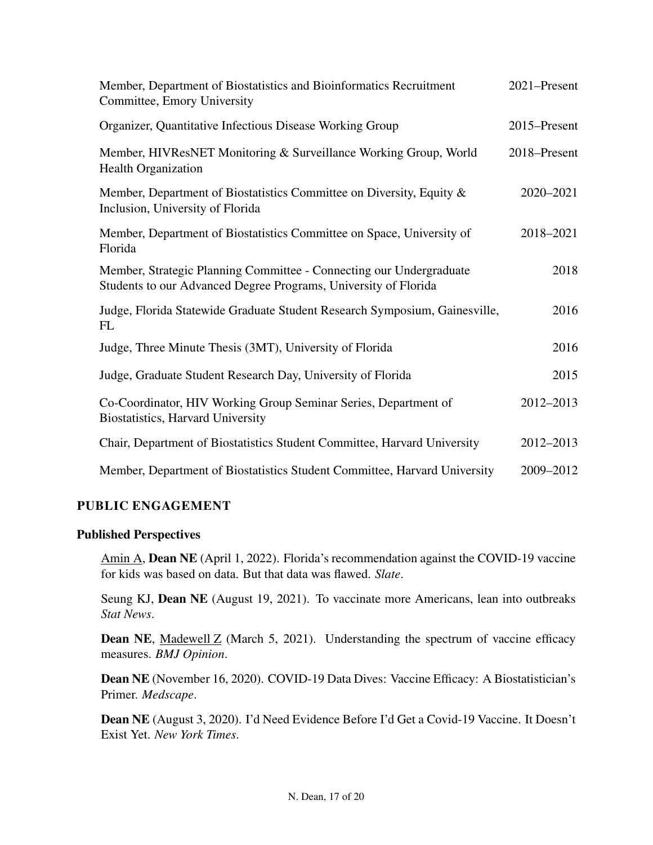| Member, Department of Biostatistics and Bioinformatics Recruitment<br>Committee, Emory University                                      | 2021-Present |
|----------------------------------------------------------------------------------------------------------------------------------------|--------------|
| Organizer, Quantitative Infectious Disease Working Group                                                                               | 2015-Present |
| Member, HIVResNET Monitoring & Surveillance Working Group, World<br><b>Health Organization</b>                                         | 2018–Present |
| Member, Department of Biostatistics Committee on Diversity, Equity &<br>Inclusion, University of Florida                               | 2020-2021    |
| Member, Department of Biostatistics Committee on Space, University of<br>Florida                                                       | 2018-2021    |
| Member, Strategic Planning Committee - Connecting our Undergraduate<br>Students to our Advanced Degree Programs, University of Florida | 2018         |
| Judge, Florida Statewide Graduate Student Research Symposium, Gainesville,<br>FL                                                       | 2016         |
| Judge, Three Minute Thesis (3MT), University of Florida                                                                                | 2016         |
| Judge, Graduate Student Research Day, University of Florida                                                                            | 2015         |
| Co-Coordinator, HIV Working Group Seminar Series, Department of<br>Biostatistics, Harvard University                                   | 2012-2013    |
| Chair, Department of Biostatistics Student Committee, Harvard University                                                               | 2012-2013    |
| Member, Department of Biostatistics Student Committee, Harvard University                                                              | 2009-2012    |

## PUBLIC ENGAGEMENT

#### Published Perspectives

Amin A, Dean NE (April 1, 2022). Florida's recommendation against the COVID-19 vaccine for kids was based on data. But that data was flawed. *Slate*.

Seung KJ, Dean NE (August 19, 2021). To vaccinate more Americans, lean into outbreaks *Stat News*.

**Dean NE, Madewell Z** (March 5, 2021). Understanding the spectrum of vaccine efficacy measures. *BMJ Opinion*.

Dean NE (November 16, 2020). COVID-19 Data Dives: Vaccine Efficacy: A Biostatistician's Primer. *Medscape*.

Dean NE (August 3, 2020). I'd Need Evidence Before I'd Get a Covid-19 Vaccine. It Doesn't Exist Yet. *New York Times*.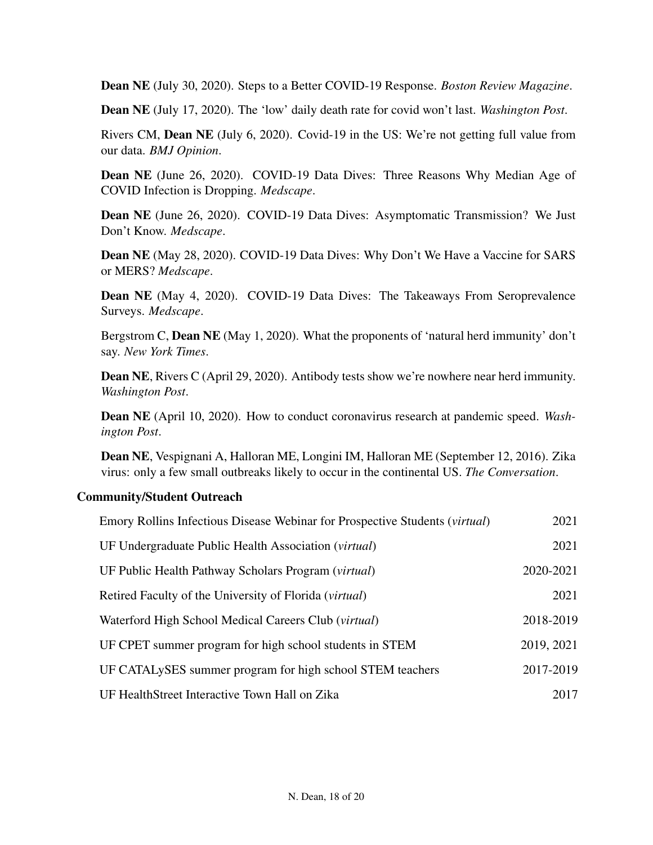Dean NE (July 30, 2020). Steps to a Better COVID-19 Response. *Boston Review Magazine*.

Dean NE (July 17, 2020). The 'low' daily death rate for covid won't last. *Washington Post*.

Rivers CM, Dean NE (July 6, 2020). Covid-19 in the US: We're not getting full value from our data. *BMJ Opinion*.

Dean NE (June 26, 2020). COVID-19 Data Dives: Three Reasons Why Median Age of COVID Infection is Dropping. *Medscape*.

Dean NE (June 26, 2020). COVID-19 Data Dives: Asymptomatic Transmission? We Just Don't Know. *Medscape*.

Dean NE (May 28, 2020). COVID-19 Data Dives: Why Don't We Have a Vaccine for SARS or MERS? *Medscape*.

Dean NE (May 4, 2020). COVID-19 Data Dives: The Takeaways From Seroprevalence Surveys. *Medscape*.

Bergstrom C, **Dean NE** (May 1, 2020). What the proponents of 'natural herd immunity' don't say. *New York Times*.

Dean NE, Rivers C (April 29, 2020). Antibody tests show we're nowhere near herd immunity. *Washington Post*.

Dean NE (April 10, 2020). How to conduct coronavirus research at pandemic speed. *Washington Post*.

Dean NE, Vespignani A, Halloran ME, Longini IM, Halloran ME (September 12, 2016). Zika virus: only a few small outbreaks likely to occur in the continental US. *The Conversation*.

#### Community/Student Outreach

| Emory Rollins Infectious Disease Webinar for Prospective Students (virtual) | 2021       |
|-----------------------------------------------------------------------------|------------|
| UF Undergraduate Public Health Association ( <i>virtual</i> )               | 2021       |
| UF Public Health Pathway Scholars Program (virtual)                         | 2020-2021  |
| Retired Faculty of the University of Florida ( <i>virtual</i> )             | 2021       |
| Waterford High School Medical Careers Club (virtual)                        | 2018-2019  |
| UF CPET summer program for high school students in STEM                     | 2019, 2021 |
| UF CATALySES summer program for high school STEM teachers                   | 2017-2019  |
| UF HealthStreet Interactive Town Hall on Zika                               | 2017       |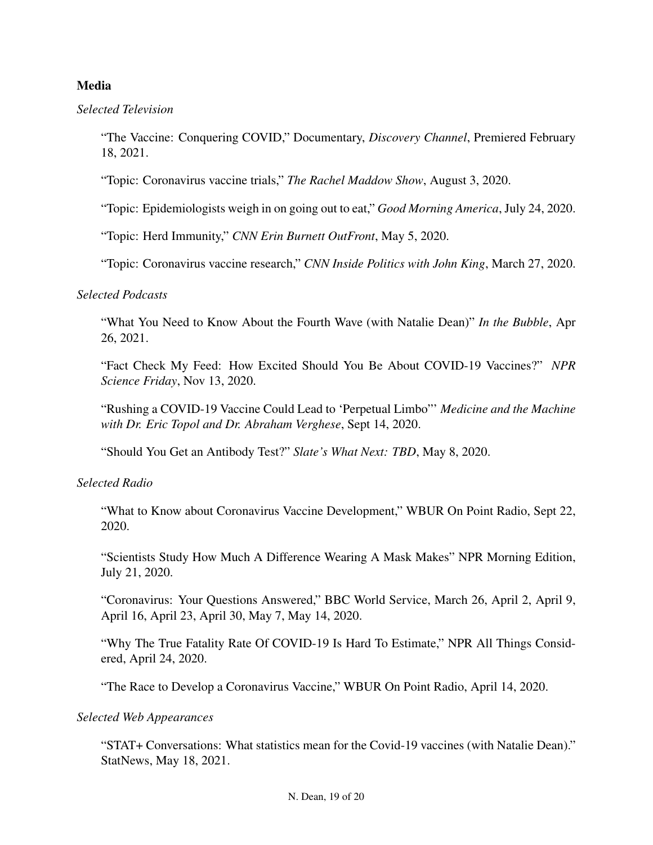## Media

*Selected Television*

"The Vaccine: Conquering COVID," Documentary, *Discovery Channel*, Premiered February 18, 2021.

"Topic: Coronavirus vaccine trials," *The Rachel Maddow Show*, August 3, 2020.

"Topic: Epidemiologists weigh in on going out to eat," *Good Morning America*, July 24, 2020.

"Topic: Herd Immunity," *CNN Erin Burnett OutFront*, May 5, 2020.

"Topic: Coronavirus vaccine research," *CNN Inside Politics with John King*, March 27, 2020.

#### *Selected Podcasts*

"What You Need to Know About the Fourth Wave (with Natalie Dean)" *In the Bubble*, Apr 26, 2021.

"Fact Check My Feed: How Excited Should You Be About COVID-19 Vaccines?" *NPR Science Friday*, Nov 13, 2020.

"Rushing a COVID-19 Vaccine Could Lead to 'Perpetual Limbo"' *Medicine and the Machine with Dr. Eric Topol and Dr. Abraham Verghese*, Sept 14, 2020.

"Should You Get an Antibody Test?" *Slate's What Next: TBD*, May 8, 2020.

#### *Selected Radio*

"What to Know about Coronavirus Vaccine Development," WBUR On Point Radio, Sept 22, 2020.

"Scientists Study How Much A Difference Wearing A Mask Makes" NPR Morning Edition, July 21, 2020.

"Coronavirus: Your Questions Answered," BBC World Service, March 26, April 2, April 9, April 16, April 23, April 30, May 7, May 14, 2020.

"Why The True Fatality Rate Of COVID-19 Is Hard To Estimate," NPR All Things Considered, April 24, 2020.

"The Race to Develop a Coronavirus Vaccine," WBUR On Point Radio, April 14, 2020.

#### *Selected Web Appearances*

"STAT+ Conversations: What statistics mean for the Covid-19 vaccines (with Natalie Dean)." StatNews, May 18, 2021.